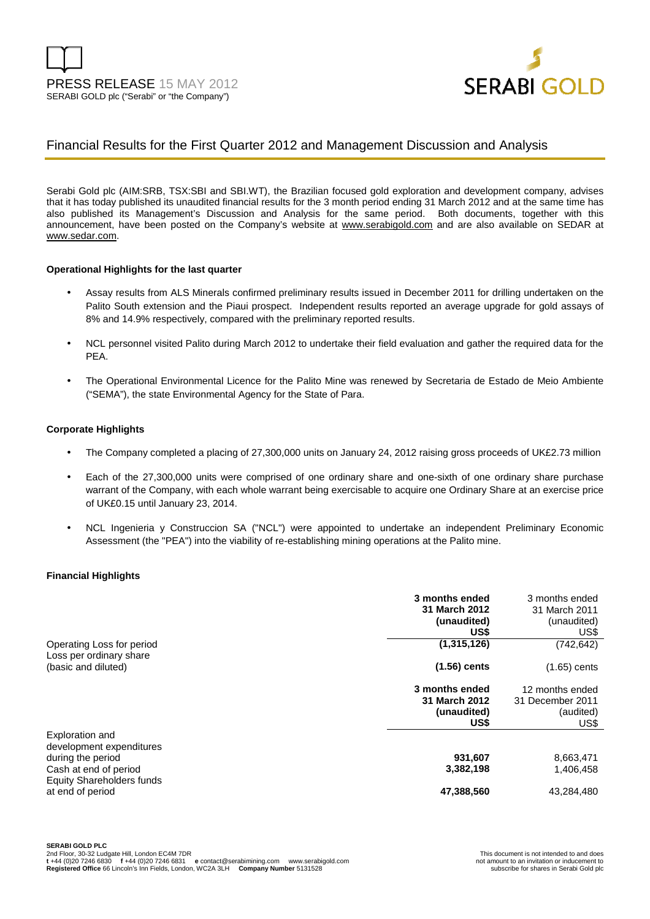



# Financial Results for the First Quarter 2012 and Management Discussion and Analysis

Serabi Gold plc (AIM:SRB, TSX:SBI and SBI.WT), the Brazilian focused gold exploration and development company, advises that it has today published its unaudited financial results for the 3 month period ending 31 March 2012 and at the same time has also published its Management's Discussion and Analysis for the same period. Both documents, together with this announcement, have been posted on the Company's website at www.serabigold.com and are also available on SEDAR at www.sedar.com.

# **Operational Highlights for the last quarter**

- Assay results from ALS Minerals confirmed preliminary results issued in December 2011 for drilling undertaken on the Palito South extension and the Piaui prospect. Independent results reported an average upgrade for gold assays of 8% and 14.9% respectively, compared with the preliminary reported results.
- NCL personnel visited Palito during March 2012 to undertake their field evaluation and gather the required data for the PEA.
- The Operational Environmental Licence for the Palito Mine was renewed by Secretaria de Estado de Meio Ambiente ("SEMA"), the state Environmental Agency for the State of Para.

# **Corporate Highlights**

- The Company completed a placing of 27,300,000 units on January 24, 2012 raising gross proceeds of UK£2.73 million
- Each of the 27,300,000 units were comprised of one ordinary share and one-sixth of one ordinary share purchase warrant of the Company, with each whole warrant being exercisable to acquire one Ordinary Share at an exercise price of UK£0.15 until January 23, 2014.
- NCL Ingenieria y Construccion SA ("NCL") were appointed to undertake an independent Preliminary Economic Assessment (the "PEA") into the viability of re-establishing mining operations at the Palito mine.

#### **Financial Highlights**

|                                                | 3 months ended<br>31 March 2012<br>(unaudited)<br>US\$ | 3 months ended<br>31 March 2011<br>(unaudited)<br>US\$ |
|------------------------------------------------|--------------------------------------------------------|--------------------------------------------------------|
| Operating Loss for period                      | (1,315,126)                                            | (742, 642)                                             |
| Loss per ordinary share<br>(basic and diluted) | $(1.56)$ cents                                         | $(1.65)$ cents                                         |
|                                                | 3 months ended                                         | 12 months ended                                        |
|                                                | 31 March 2012                                          | 31 December 2011                                       |
|                                                | (unaudited)<br>US\$                                    | (audited)<br>US\$                                      |
| Exploration and                                |                                                        |                                                        |
| development expenditures<br>during the period  | 931,607                                                | 8,663,471                                              |
| Cash at end of period                          | 3,382,198                                              | 1,406,458                                              |
| Equity Shareholders funds                      |                                                        |                                                        |
| at end of period                               | 47,388,560                                             | 43,284,480                                             |
|                                                |                                                        |                                                        |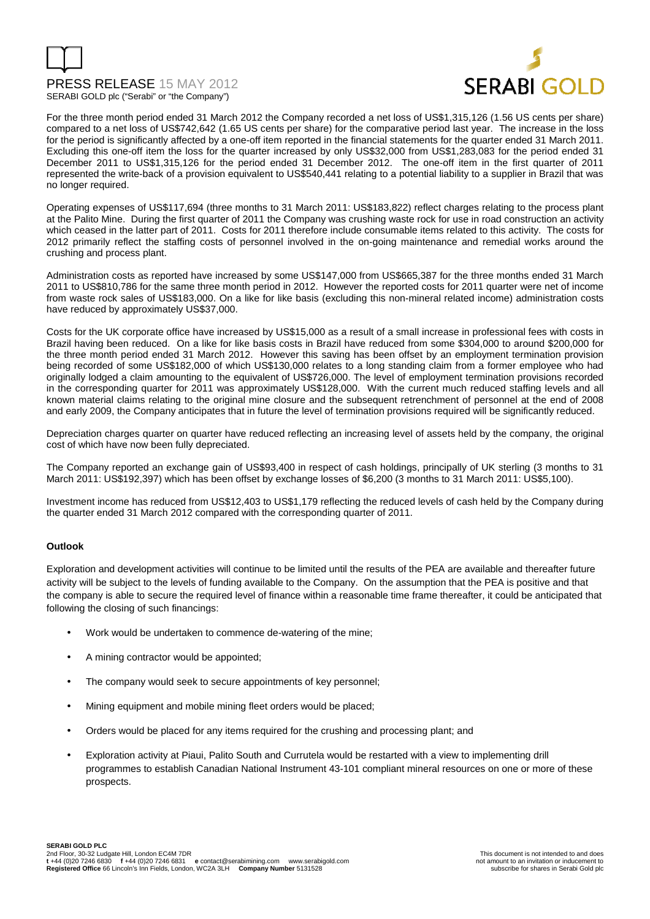



For the three month period ended 31 March 2012 the Company recorded a net loss of US\$1,315,126 (1.56 US cents per share) compared to a net loss of US\$742,642 (1.65 US cents per share) for the comparative period last year. The increase in the loss for the period is significantly affected by a one-off item reported in the financial statements for the quarter ended 31 March 2011. Excluding this one-off item the loss for the quarter increased by only US\$32,000 from US\$1,283,083 for the period ended 31 December 2011 to US\$1,315,126 for the period ended 31 December 2012. The one-off item in the first quarter of 2011 represented the write-back of a provision equivalent to US\$540,441 relating to a potential liability to a supplier in Brazil that was no longer required.

Operating expenses of US\$117,694 (three months to 31 March 2011: US\$183,822) reflect charges relating to the process plant at the Palito Mine. During the first quarter of 2011 the Company was crushing waste rock for use in road construction an activity which ceased in the latter part of 2011. Costs for 2011 therefore include consumable items related to this activity. The costs for 2012 primarily reflect the staffing costs of personnel involved in the on-going maintenance and remedial works around the crushing and process plant.

Administration costs as reported have increased by some US\$147,000 from US\$665,387 for the three months ended 31 March 2011 to US\$810,786 for the same three month period in 2012. However the reported costs for 2011 quarter were net of income from waste rock sales of US\$183,000. On a like for like basis (excluding this non-mineral related income) administration costs have reduced by approximately US\$37,000.

Costs for the UK corporate office have increased by US\$15,000 as a result of a small increase in professional fees with costs in Brazil having been reduced. On a like for like basis costs in Brazil have reduced from some \$304,000 to around \$200,000 for the three month period ended 31 March 2012. However this saving has been offset by an employment termination provision being recorded of some US\$182,000 of which US\$130,000 relates to a long standing claim from a former employee who had originally lodged a claim amounting to the equivalent of US\$726,000. The level of employment termination provisions recorded in the corresponding quarter for 2011 was approximately US\$128,000. With the current much reduced staffing levels and all known material claims relating to the original mine closure and the subsequent retrenchment of personnel at the end of 2008 and early 2009, the Company anticipates that in future the level of termination provisions required will be significantly reduced.

Depreciation charges quarter on quarter have reduced reflecting an increasing level of assets held by the company, the original cost of which have now been fully depreciated.

The Company reported an exchange gain of US\$93,400 in respect of cash holdings, principally of UK sterling (3 months to 31 March 2011: US\$192,397) which has been offset by exchange losses of \$6,200 (3 months to 31 March 2011: US\$5,100).

Investment income has reduced from US\$12,403 to US\$1,179 reflecting the reduced levels of cash held by the Company during the quarter ended 31 March 2012 compared with the corresponding quarter of 2011.

# **Outlook**

Exploration and development activities will continue to be limited until the results of the PEA are available and thereafter future activity will be subject to the levels of funding available to the Company. On the assumption that the PEA is positive and that the company is able to secure the required level of finance within a reasonable time frame thereafter, it could be anticipated that following the closing of such financings:

- Work would be undertaken to commence de-watering of the mine;
- A mining contractor would be appointed;
- The company would seek to secure appointments of key personnel;
- Mining equipment and mobile mining fleet orders would be placed;
- Orders would be placed for any items required for the crushing and processing plant; and
- Exploration activity at Piaui, Palito South and Currutela would be restarted with a view to implementing drill programmes to establish Canadian National Instrument 43-101 compliant mineral resources on one or more of these prospects.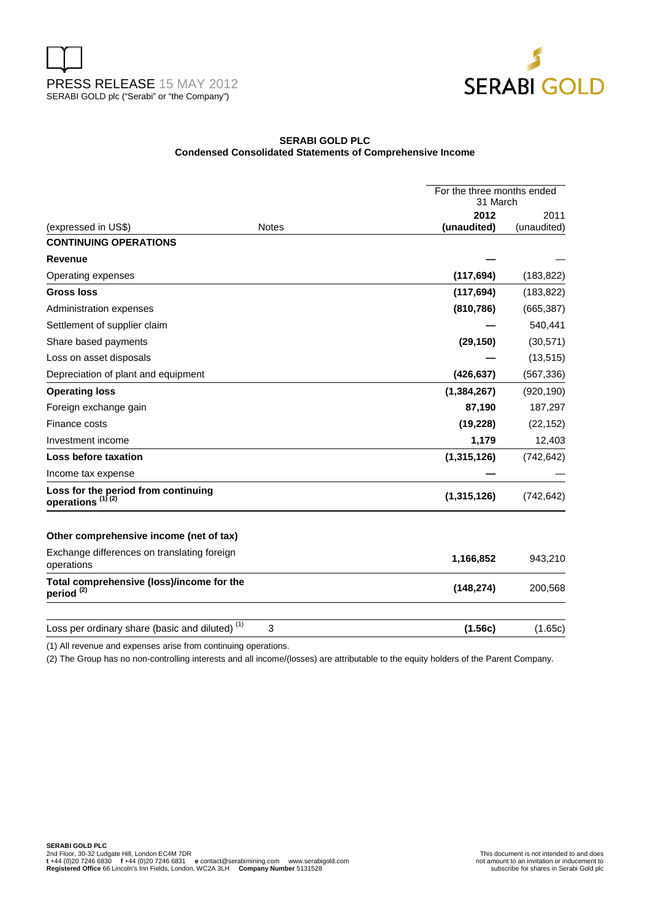



# **SERABI GOLD PLC Condensed Consolidated Statements of Comprehensive Income**

|                                                                     |              |                     | For the three months ended<br>31 March |  |
|---------------------------------------------------------------------|--------------|---------------------|----------------------------------------|--|
| (expressed in US\$)                                                 | <b>Notes</b> | 2012<br>(unaudited) | 2011<br>(unaudited)                    |  |
| <b>CONTINUING OPERATIONS</b>                                        |              |                     |                                        |  |
| Revenue                                                             |              |                     |                                        |  |
| Operating expenses                                                  |              | (117, 694)          | (183, 822)                             |  |
| <b>Gross loss</b>                                                   |              | (117, 694)          | (183, 822)                             |  |
| Administration expenses                                             |              | (810, 786)          | (665, 387)                             |  |
| Settlement of supplier claim                                        |              |                     | 540,441                                |  |
| Share based payments                                                |              | (29, 150)           | (30, 571)                              |  |
| Loss on asset disposals                                             |              |                     | (13, 515)                              |  |
| Depreciation of plant and equipment                                 |              | (426, 637)          | (567, 336)                             |  |
| <b>Operating loss</b>                                               |              | (1, 384, 267)       | (920, 190)                             |  |
| Foreign exchange gain                                               |              | 87,190              | 187,297                                |  |
| Finance costs                                                       |              | (19, 228)           | (22, 152)                              |  |
| Investment income                                                   |              | 1,179               | 12,403                                 |  |
| Loss before taxation                                                |              | (1,315,126)         | (742, 642)                             |  |
| Income tax expense                                                  |              |                     |                                        |  |
| Loss for the period from continuing<br>operations <sup>(1)(2)</sup> |              | (1,315,126)         | (742, 642)                             |  |
| Other comprehensive income (net of tax)                             |              |                     |                                        |  |
| Exchange differences on translating foreign<br>operations           |              | 1,166,852           | 943,210                                |  |
| Total comprehensive (loss)/income for the<br>period <sup>(2)</sup>  |              | (148, 274)          | 200,568                                |  |
| Loss per ordinary share (basic and diluted) <sup>(1)</sup>          | 3            | (1.56c)             | (1.65c)                                |  |
|                                                                     |              |                     |                                        |  |

(1) All revenue and expenses arise from continuing operations.

(2) The Group has no non-controlling interests and all income/(losses) are attributable to the equity holders of the Parent Company.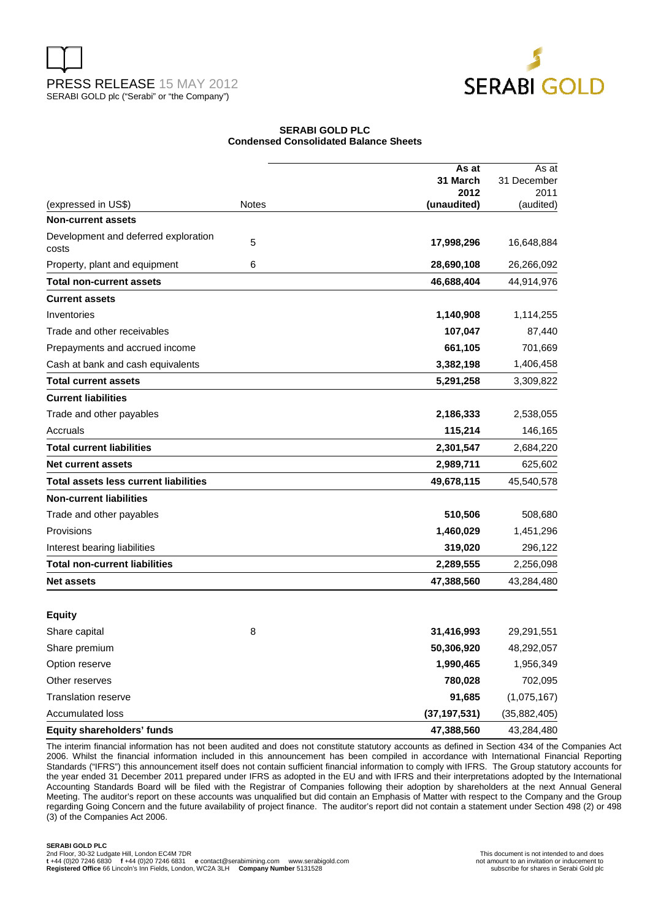



# **SERABI GOLD PLC Condensed Consolidated Balance Sheets**

|                                               |              | As at          | As at          |
|-----------------------------------------------|--------------|----------------|----------------|
|                                               |              | 31 March       | 31 December    |
|                                               |              | 2012           | 2011           |
| (expressed in US\$)                           | <b>Notes</b> | (unaudited)    | (audited)      |
| <b>Non-current assets</b>                     |              |                |                |
| Development and deferred exploration<br>costs | 5            | 17,998,296     | 16,648,884     |
| Property, plant and equipment                 | 6            | 28,690,108     | 26,266,092     |
| Total non-current assets                      |              | 46,688,404     | 44,914,976     |
| <b>Current assets</b>                         |              |                |                |
| Inventories                                   |              | 1,140,908      | 1,114,255      |
| Trade and other receivables                   |              | 107,047        | 87,440         |
| Prepayments and accrued income                |              | 661,105        | 701,669        |
| Cash at bank and cash equivalents             |              | 3,382,198      | 1,406,458      |
| <b>Total current assets</b>                   |              | 5,291,258      | 3,309,822      |
| <b>Current liabilities</b>                    |              |                |                |
| Trade and other payables                      |              | 2,186,333      | 2,538,055      |
| Accruals                                      |              | 115,214        | 146,165        |
| <b>Total current liabilities</b>              |              | 2,301,547      | 2,684,220      |
| <b>Net current assets</b>                     |              | 2,989,711      | 625,602        |
| <b>Total assets less current liabilities</b>  |              | 49,678,115     | 45,540,578     |
| <b>Non-current liabilities</b>                |              |                |                |
| Trade and other payables                      |              | 510,506        | 508,680        |
| Provisions                                    |              | 1,460,029      | 1,451,296      |
| Interest bearing liabilities                  |              | 319,020        | 296,122        |
| <b>Total non-current liabilities</b>          |              | 2,289,555      | 2,256,098      |
| Net assets                                    |              | 47,388,560     | 43,284,480     |
|                                               |              |                |                |
| <b>Equity</b>                                 |              |                |                |
| Share capital                                 | 8            | 31,416,993     | 29,291,551     |
| Share premium                                 |              | 50,306,920     | 48,292,057     |
| Option reserve                                |              | 1,990,465      | 1,956,349      |
| Other reserves                                |              | 780,028        | 702,095        |
| <b>Translation reserve</b>                    |              | 91,685         | (1,075,167)    |
| <b>Accumulated loss</b>                       |              | (37, 197, 531) | (35, 882, 405) |
| Equity shareholders' funds                    |              | 47,388,560     | 43,284,480     |

The interim financial information has not been audited and does not constitute statutory accounts as defined in Section 434 of the Companies Act 2006. Whilst the financial information included in this announcement has been compiled in accordance with International Financial Reporting Standards ("IFRS") this announcement itself does not contain sufficient financial information to comply with IFRS. The Group statutory accounts for the year ended 31 December 2011 prepared under IFRS as adopted in the EU and with IFRS and their interpretations adopted by the International Accounting Standards Board will be filed with the Registrar of Companies following their adoption by shareholders at the next Annual General Meeting. The auditor's report on these accounts was unqualified but did contain an Emphasis of Matter with respect to the Company and the Group regarding Going Concern and the future availability of project finance. The auditor's report did not contain a statement under Section 498 (2) or 498 (3) of the Companies Act 2006.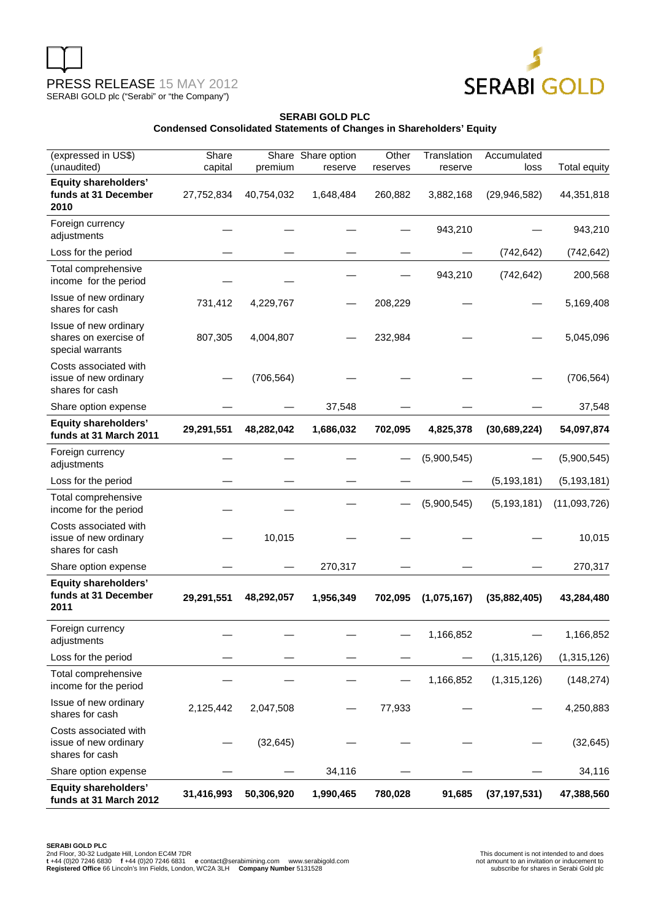



# **SERABI GOLD PLC Condensed Consolidated Statements of Changes in Shareholders' Equity**

| (expressed in US\$)                                                | Share      |            | Share Share option | Other    | Translation | Accumulated    |               |
|--------------------------------------------------------------------|------------|------------|--------------------|----------|-------------|----------------|---------------|
| (unaudited)                                                        | capital    | premium    | reserve            | reserves | reserve     | loss           | Total equity  |
| <b>Equity shareholders'</b><br>funds at 31 December<br>2010        | 27,752,834 | 40,754,032 | 1,648,484          | 260,882  | 3,882,168   | (29, 946, 582) | 44,351,818    |
| Foreign currency<br>adjustments                                    |            |            |                    |          | 943,210     |                | 943,210       |
| Loss for the period                                                |            |            |                    |          |             | (742, 642)     | (742, 642)    |
| Total comprehensive<br>income for the period                       |            |            |                    |          | 943,210     | (742, 642)     | 200,568       |
| Issue of new ordinary<br>shares for cash                           | 731,412    | 4,229,767  |                    | 208,229  |             |                | 5,169,408     |
| Issue of new ordinary<br>shares on exercise of<br>special warrants | 807,305    | 4,004,807  |                    | 232,984  |             |                | 5,045,096     |
| Costs associated with<br>issue of new ordinary<br>shares for cash  |            | (706, 564) |                    |          |             |                | (706, 564)    |
| Share option expense                                               |            |            | 37,548             |          |             |                | 37,548        |
| <b>Equity shareholders'</b><br>funds at 31 March 2011              | 29,291,551 | 48,282,042 | 1,686,032          | 702,095  | 4,825,378   | (30, 689, 224) | 54,097,874    |
| Foreign currency<br>adjustments                                    |            |            |                    |          | (5,900,545) |                | (5,900,545)   |
| Loss for the period                                                |            |            |                    |          |             | (5, 193, 181)  | (5, 193, 181) |
| Total comprehensive<br>income for the period                       |            |            |                    |          | (5,900,545) | (5, 193, 181)  | (11,093,726)  |
| Costs associated with<br>issue of new ordinary<br>shares for cash  |            | 10,015     |                    |          |             |                | 10,015        |
| Share option expense                                               |            |            | 270,317            |          |             |                | 270,317       |
| <b>Equity shareholders'</b><br>funds at 31 December<br>2011        | 29,291,551 | 48,292,057 | 1,956,349          | 702,095  | (1,075,167) | (35,882,405)   | 43,284,480    |
| Foreign currency<br>adjustments                                    |            |            |                    |          | 1,166,852   |                | 1,166,852     |
| Loss for the period                                                |            |            |                    |          |             | (1,315,126)    | (1,315,126)   |
| Total comprehensive<br>income for the period                       |            |            |                    |          | 1,166,852   | (1,315,126)    | (148, 274)    |
| Issue of new ordinary<br>shares for cash                           | 2,125,442  | 2,047,508  |                    | 77,933   |             |                | 4,250,883     |
| Costs associated with<br>issue of new ordinary<br>shares for cash  |            | (32, 645)  |                    |          |             |                | (32, 645)     |
| Share option expense                                               |            |            | 34,116             |          |             |                | 34,116        |
| <b>Equity shareholders'</b><br>funds at 31 March 2012              | 31,416,993 | 50,306,920 | 1,990,465          | 780,028  | 91,685      | (37, 197, 531) | 47,388,560    |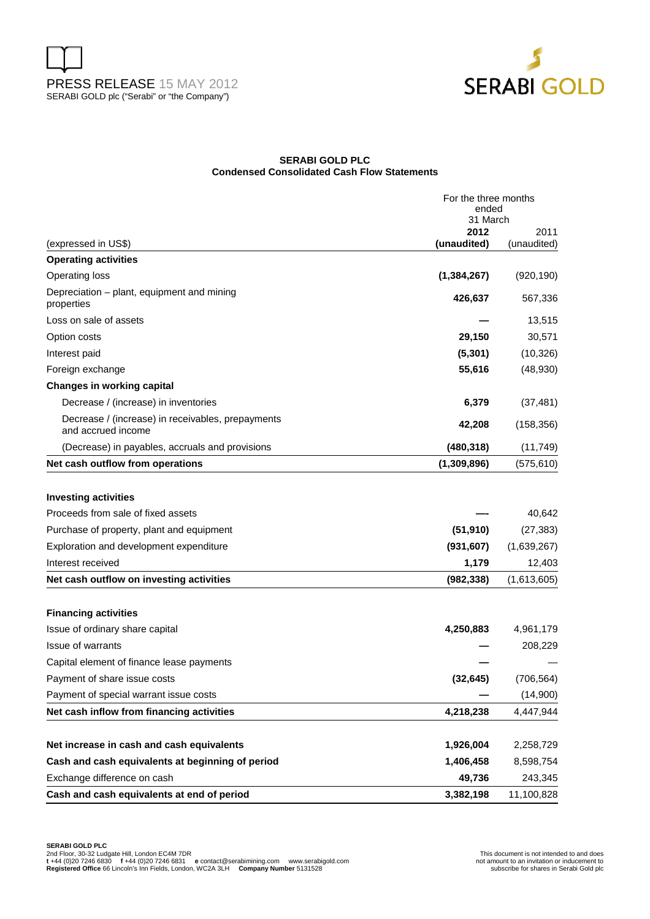



# **SERABI GOLD PLC Condensed Consolidated Cash Flow Statements**

|                                                                                                                | For the three months<br>ended<br>31 March |                     |  |
|----------------------------------------------------------------------------------------------------------------|-------------------------------------------|---------------------|--|
| (expressed in US\$)                                                                                            | 2012<br>(unaudited)                       | 2011<br>(unaudited) |  |
| <b>Operating activities</b>                                                                                    |                                           |                     |  |
| Operating loss                                                                                                 | (1, 384, 267)                             | (920, 190)          |  |
| Depreciation – plant, equipment and mining                                                                     | 426,637                                   | 567,336             |  |
| properties                                                                                                     |                                           |                     |  |
| Loss on sale of assets                                                                                         |                                           | 13,515              |  |
| Option costs                                                                                                   | 29,150                                    | 30,571              |  |
| Interest paid                                                                                                  | (5, 301)                                  | (10, 326)           |  |
| Foreign exchange                                                                                               | 55,616                                    | (48, 930)           |  |
| <b>Changes in working capital</b>                                                                              |                                           |                     |  |
| Decrease / (increase) in inventories                                                                           | 6,379                                     | (37, 481)           |  |
| Decrease / (increase) in receivables, prepayments<br>and accrued income                                        | 42,208                                    | (158, 356)          |  |
| (Decrease) in payables, accruals and provisions                                                                | (480, 318)                                | (11, 749)           |  |
| Net cash outflow from operations                                                                               | (1,309,896)                               | (575, 610)          |  |
| <b>Investing activities</b><br>Proceeds from sale of fixed assets<br>Purchase of property, plant and equipment | (51, 910)                                 | 40,642<br>(27, 383) |  |
| Exploration and development expenditure                                                                        | (931, 607)                                | (1,639,267)         |  |
| Interest received                                                                                              | 1,179                                     | 12,403              |  |
| Net cash outflow on investing activities                                                                       | (982, 338)                                | (1,613,605)         |  |
| <b>Financing activities</b>                                                                                    |                                           |                     |  |
| Issue of ordinary share capital                                                                                | 4,250,883                                 | 4,961,179           |  |
| Issue of warrants                                                                                              |                                           | 208,229             |  |
| Capital element of finance lease payments                                                                      |                                           |                     |  |
| Payment of share issue costs                                                                                   | (32, 645)                                 | (706, 564)          |  |
| Payment of special warrant issue costs                                                                         |                                           | (14,900)            |  |
| Net cash inflow from financing activities                                                                      | 4,218,238                                 | 4,447,944           |  |
|                                                                                                                |                                           |                     |  |
| Net increase in cash and cash equivalents                                                                      | 1,926,004                                 | 2,258,729           |  |
| Cash and cash equivalents at beginning of period                                                               | 1,406,458                                 | 8,598,754           |  |
| Exchange difference on cash                                                                                    | 49,736                                    | 243,345             |  |
| Cash and cash equivalents at end of period                                                                     | 3,382,198                                 | 11,100,828          |  |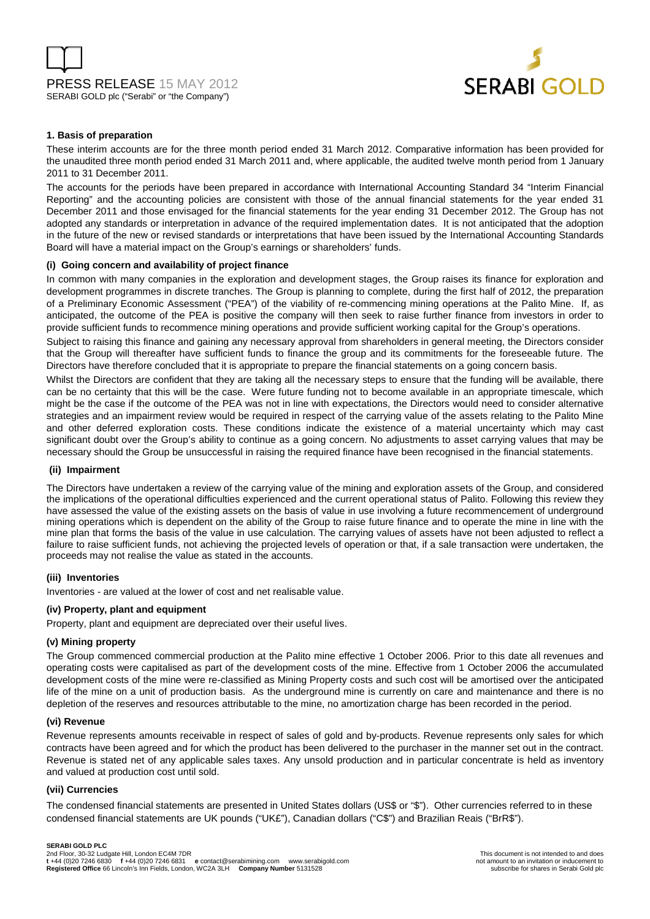



# **1. Basis of preparation**

These interim accounts are for the three month period ended 31 March 2012. Comparative information has been provided for the unaudited three month period ended 31 March 2011 and, where applicable, the audited twelve month period from 1 January 2011 to 31 December 2011.

The accounts for the periods have been prepared in accordance with International Accounting Standard 34 "Interim Financial Reporting" and the accounting policies are consistent with those of the annual financial statements for the year ended 31 December 2011 and those envisaged for the financial statements for the year ending 31 December 2012. The Group has not adopted any standards or interpretation in advance of the required implementation dates. It is not anticipated that the adoption in the future of the new or revised standards or interpretations that have been issued by the International Accounting Standards Board will have a material impact on the Group's earnings or shareholders' funds.

# **(i) Going concern and availability of project finance**

In common with many companies in the exploration and development stages, the Group raises its finance for exploration and development programmes in discrete tranches. The Group is planning to complete, during the first half of 2012, the preparation of a Preliminary Economic Assessment ("PEA") of the viability of re-commencing mining operations at the Palito Mine. If, as anticipated, the outcome of the PEA is positive the company will then seek to raise further finance from investors in order to provide sufficient funds to recommence mining operations and provide sufficient working capital for the Group's operations.

Subject to raising this finance and gaining any necessary approval from shareholders in general meeting, the Directors consider that the Group will thereafter have sufficient funds to finance the group and its commitments for the foreseeable future. The Directors have therefore concluded that it is appropriate to prepare the financial statements on a going concern basis.

Whilst the Directors are confident that they are taking all the necessary steps to ensure that the funding will be available, there can be no certainty that this will be the case. Were future funding not to become available in an appropriate timescale, which might be the case if the outcome of the PEA was not in line with expectations, the Directors would need to consider alternative strategies and an impairment review would be required in respect of the carrying value of the assets relating to the Palito Mine and other deferred exploration costs. These conditions indicate the existence of a material uncertainty which may cast significant doubt over the Group's ability to continue as a going concern. No adjustments to asset carrying values that may be necessary should the Group be unsuccessful in raising the required finance have been recognised in the financial statements.

#### **(ii) Impairment**

The Directors have undertaken a review of the carrying value of the mining and exploration assets of the Group, and considered the implications of the operational difficulties experienced and the current operational status of Palito. Following this review they have assessed the value of the existing assets on the basis of value in use involving a future recommencement of underground mining operations which is dependent on the ability of the Group to raise future finance and to operate the mine in line with the mine plan that forms the basis of the value in use calculation. The carrying values of assets have not been adjusted to reflect a failure to raise sufficient funds, not achieving the projected levels of operation or that, if a sale transaction were undertaken, the proceeds may not realise the value as stated in the accounts.

# **(iii) Inventories**

Inventories - are valued at the lower of cost and net realisable value.

### **(iv) Property, plant and equipment**

Property, plant and equipment are depreciated over their useful lives.

# **(v) Mining property**

The Group commenced commercial production at the Palito mine effective 1 October 2006. Prior to this date all revenues and operating costs were capitalised as part of the development costs of the mine. Effective from 1 October 2006 the accumulated development costs of the mine were re-classified as Mining Property costs and such cost will be amortised over the anticipated life of the mine on a unit of production basis. As the underground mine is currently on care and maintenance and there is no depletion of the reserves and resources attributable to the mine, no amortization charge has been recorded in the period.

# **(vi) Revenue**

Revenue represents amounts receivable in respect of sales of gold and by-products. Revenue represents only sales for which contracts have been agreed and for which the product has been delivered to the purchaser in the manner set out in the contract. Revenue is stated net of any applicable sales taxes. Any unsold production and in particular concentrate is held as inventory and valued at production cost until sold.

# **(vii) Currencies**

The condensed financial statements are presented in United States dollars (US\$ or "\$"). Other currencies referred to in these condensed financial statements are UK pounds ("UK£"), Canadian dollars ("C\$") and Brazilian Reais ("BrR\$").